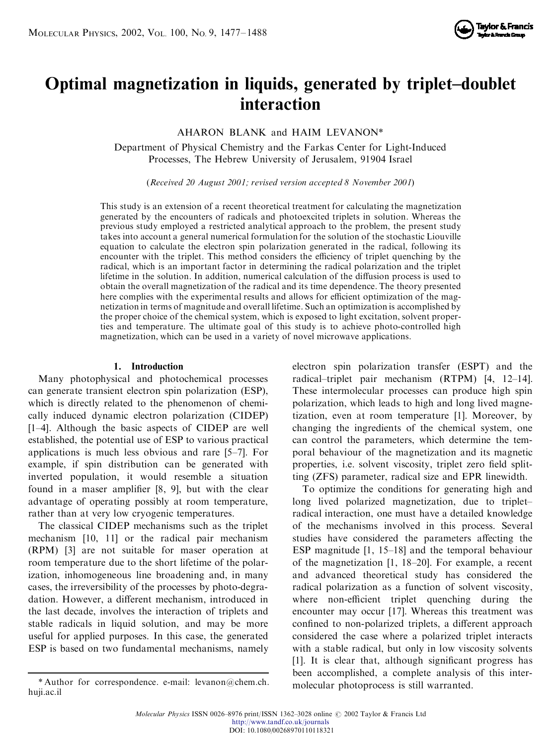

# **Optimal magnetization in liquids, generated by triplet-doublet interaction**

AHARON BLANK and HAIM LEVANON\*

Department of Physical Chemistry and the Farkas Center for Light-Induced Processes, The Hebrew University of Jerusalem, 91904 Israel

(*Received 20 August 2001; revised version accepted 8 November 2001*)

This study is an extension of a recent theoretical treatment for calculating the magnetization generated by the encounters of radicals and photoexcited triplets in solution. Whereas the previous study employed a restricted analytical approach to the problem, the present study takes into account a general numerical formulation for the solution of the stochastic Liouville equation to calculate the electron spin polarization generated in the radical, following its encounter with the triplet. This method considers the efficiency of triplet quenching by the radical, which is an important factor in determining the radical polarization and the triplet lifetime in the solution. In addition, numerical calculation of the diffusion process is used to obtain the overall magnetization of the radical and its time dependence. The theory presented here complies with the experimental results and allows for efficient optimization of the magnetization in terms of magnitude and overall lifetime. Such an optimization is accomplished by the proper choice of the chemical system, which is exposed to light excitation, solvent properties and temperature. The ultimate goal of this study is to achieve photo-controlled high magnetization, which can be used in a variety of novel microwave applications.

# **1. Introduction**

Many photophysical and photochemical processes can generate transient electron spin polarization (ESP), which is directly related to the phenomenon of chemically induced dynamic electron polarization (CIDEP) [1-4]. Although the basic aspects of CIDEP are well established, the potential use of ESP to various practical applications is much less obvious and rare  $[5-7]$ . For example, if spin distribution can be generated with inverted population, it would resemble a situation found in a maser amplifier [8, 9], but with the clear advantage of operating possibly at room temperature, rather than at very low cryogenic temperatures.

The classical CIDEP mechanisms such as the triplet mechanism [10, 11] or the radical pair mechanism (RPM) [3] are not suitable for maser operation at room temperature due to the short lifetime of the polarization, inhomogeneous line broadening and, in many cases, the irreversibility of the processes by photo-degradation. However, a different mechanism, introduced in the last decade, involves the interaction of triplets and stable radicals in liquid solution, and may be more useful for applied purposes. In this case, the generated ESP is based on two fundamental mechanisms, namely

electron spin polarization transfer (ESPT) and the radical $-triplet$  pair mechanism (RTPM) [4, 12–14]. These intermolecular processes can produce high spin polarization, which leads to high and long lived magnetization, even at room temperature [1]. Moreover, by changing the ingredients of the chemical system, one can control the parameters, which determine the temporal behaviour of the magnetization and its magnetic properties, i.e. solvent viscosity, triplet zero field splitting (ZFS) parameter, radical size and EPR linewidth.

To optimize the conditions for generating high and long lived polarized magnetization, due to tripletradical interaction, one must have a detailed knowledge of the mechanisms involved in this process. Several studies have considered the parameters affecting the ESP magnitude  $[1, 15-18]$  and the temporal behaviour of the magnetization  $[1, 18-20]$ . For example, a recent and advanced theoretical study has considered the radical polarization as a function of solvent viscosity, where non-efficient triplet quenching during the encounter may occur [17]. Whereas this treatment was confined to non-polarized triplets, a different approach considered the case where a polarized triplet interacts with a stable radical, but only in low viscosity solvents [1]. It is clear that, although significant progress has been accomplished, a complete analysis of this intermolecular photoprocess is still warranted.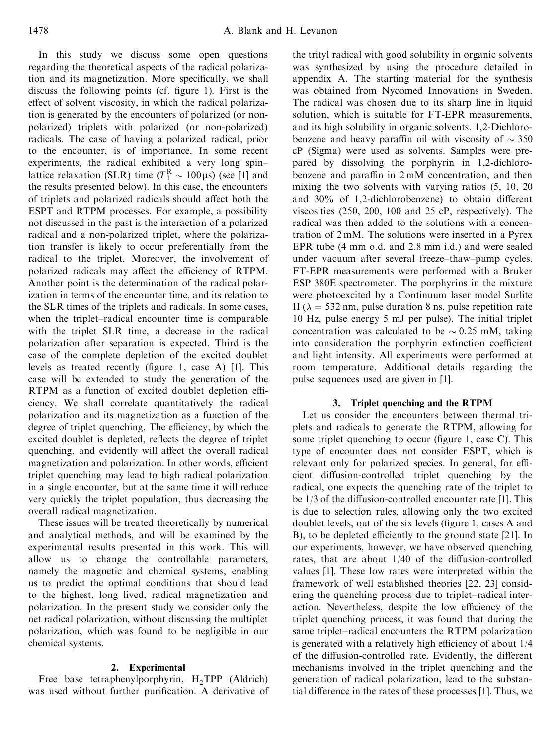In this study we discuss some open questions regarding the theoretical aspects of the radical polarization and its magnetization. More specifically, we shall discuss the following points (cf. figure 1). First is the effect of solvent viscosity, in which the radical polarization is generated by the encounters of polarized (or nonpolarized) triplets with polarized (or non-polarized) radicals. The case of having a polarized radical, prior to the encounter, is of importance. In some recent experiments, the radical exhibited a very long spinlattice relaxation (SLR) time  $(T_1^R \sim 100 \,\mu s)$  (see [1] and the results presented below). In this case, the encounters of triplets and polarized radicals should affect both the ESPT and RTPM processes. For example, a possibility not discussed in the past is the interaction of a polarized radical and a non-polarized triplet, where the polarization transfer is likely to occur preferentially from the radical to the triplet. Moreover, the involvement of polarized radicals may affect the efficiency of RTPM. Another point is the determination of the radical polarization in terms of the encounter time, and its relation to the SLR times of the triplets and radicals. In some cases, when the triplet-radical encounter time is comparable with the triplet SLR time, a decrease in the radical polarization after separation is expected. Third is the case of the complete depletion of the excited doublet levels as treated recently (figure 1, case A)  $[1]$ . This case will be extended to study the generation of the RTPM as a function of excited doublet depletion efficiency. We shall correlate quantitatively the radical polarization and its magnetization as a function of the degree of triplet quenching. The efficiency, by which the excited doublet is depleted, reflects the degree of triplet quenching, and evidently will affect the overall radical magnetization and polarization. In other words, efficient triplet quenching may lead to high radical polarization in a single encounter, but at the same time it will reduce very quickly the triplet population, thus decreasing the overall radical magnetization.

These issues will be treated theoretically by numerical and analytical methods, and will be examined by the experimental results presented in this work. This will allow us to change the controllable parameters, namely the magnetic and chemical systems, enabling us to predict the optimal conditions that should lead to the highest, long lived, radical magnetization and polarization. In the present study we consider only the net radical polarization, without discussing the multiplet polarization, which was found to be negligible in our chemical systems.

# **2. Experimental**

Free base tetraphenylporphyrin, H<sub>2</sub>TPP (Aldrich) was used without further purification. A derivative of the trityl radical with good solubility in organic solvents was synthesized by using the procedure detailed in appendix A. The starting material for the synthesis was obtained from Nycomed Innovations in Sweden. The radical was chosen due to its sharp line in liquid solution, which is suitable for FT-EPR measurements, and its high solubility in organic solvents. 1,2-Dichlorobenzene and heavy paraffin oil with viscosity of  $\sim$  350 cP (Sigma) were used as solvents. Samples were prepared by dissolving the porphyrin in 1,2-dichlorobenzene and paraffin in  $2 \text{ mM}$  concentration, and then mixing the two solvents with varying ratios (5, 10, 20 and  $30\%$  of 1,2-dichlorobenzene) to obtain different viscosities (250, 200, 100 and 25 cP, respectively). The radical was then added to the solutions with a concentration of 2 mM. The solutions were inserted in a Pyrex EPR tube (4 mm o.d. and 2.8 mm i.d.) and were sealed under vacuum after several freeze-thaw-pump cycles. FT-EPR measurements were performed with a Bruker ESP 380E spectrometer. The porphyrins in the mixture were photoexcited by a Continuum laser model Surlite II ( $\lambda = 532$  nm, pulse duration 8 ns, pulse repetition rate 10 Hz, pulse energy 5 mJ per pulse). The initial triplet concentration was calculated to be  $\sim 0.25$  mM, taking into consideration the porphyrin extinction coefficient and light intensity. All experiments were performed at room temperature. Additional details regarding the pulse sequences used are given in [1].

### **3. Triplet quenching and the RTPM**

Let us consider the encounters between thermal triplets and radicals to generate the RTPM, allowing for some triplet quenching to occur (figure 1, case  $C$ ). This type of encounter does not consider ESPT, which is relevant only for polarized species. In general, for efficient diffusion-controlled triplet quenching by the radical, one expects the quenching rate of the triplet to be  $1/3$  of the diffusion-controlled encounter rate [1]. This is due to selection rules, allowing only the two excited doublet levels, out of the six levels (figure 1, cases A and B), to be depleted efficiently to the ground state [21]. In our experiments, however, we have observed quenching rates, that are about  $1/40$  of the diffusion-controlled values [1]. These low rates were interpreted within the framework of well established theories [22, 23] considering the quenching process due to triplet-radical interaction. Nevertheless, despite the low efficiency of the triplet quenching process, it was found that during the same triplet–radical encounters the RTPM polarization is generated with a relatively high efficiency of about  $1/4$ of the diffusion-controlled rate. Evidently, the different mechanisms involved in the triplet quenching and the generation of radical polarization, lead to the substantial difference in the rates of these processes [1]. Thus, we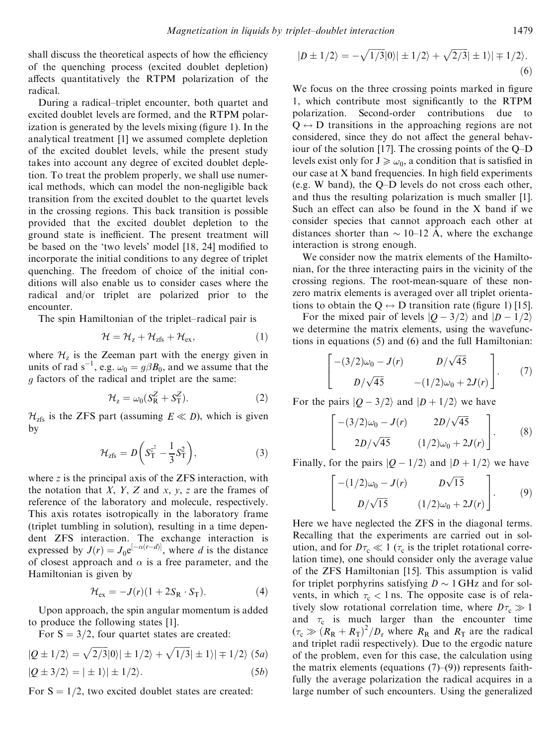shall discuss the theoretical aspects of how the efficiency of the quenching process (excited doublet depletion) affects quantitatively the RTPM polarization of the radical.

During a radical–triplet encounter, both quartet and excited doublet levels are formed, and the RTPM polarization is generated by the levels mixing (figure 1). In the analytical treatment [1] we assumed complete depletion of the excited doublet levels, while the present study takes into account any degree of excited doublet depletion. To treat the problem properly, we shall use numerical methods, which can model the non-negligible back transition from the excited doublet to the quartet levels in the crossing regions. This back transition is possible provided that the excited doublet depletion to the ground state is inefficient. The present treatment will be based on the 'two levels' model [18, 24] modified to incorporate the initial conditions to any degree of triplet quenching. The freedom of choice of the initial conditions will also enable us to consider cases where the radical and/or triplet are polarized prior to the encounter.

The spin Hamiltonian of the triplet-radical pair is

$$
\mathcal{H} = \mathcal{H}_z + \mathcal{H}_{zfs} + \mathcal{H}_{ex},\tag{1}
$$

where  $\mathcal{H}_z$  is the Zeeman part with the energy given in units of rad  $s^{-1}$ , e.g.  $\omega_0 = g\beta B_0$ , and we assume that the g factors of the radical and triplet are the same:

$$
\mathcal{H}_z = \omega_0 (S_R^Z + S_T^Z). \tag{2}
$$

 $H<sub>zfs</sub>$  is the ZFS part (assuming  $E \ll D$ ), which is given by

$$
\mathcal{H}_{\text{zfs}} = D \bigg( S_{\text{T}}^{z^2} - \frac{1}{3} S_{\text{T}}^2 \bigg), \tag{3}
$$

where *z* is the principal axis of the ZFS interaction, with the notation that *X*, *Y*, *Z* and *x*, *y*, *z* are the frames of reference of the laboratory and molecule, respectively. This axis rotates isotropically in the laboratory frame (triplet tumbling in solution), resulting in a time dependent ZFS interaction. The exchange interaction is expressed by  $J(r) = J_0 e^{[-\alpha(r-d)]}$ , where *d* is the distance of closest approach and  $\alpha$  is a free parameter, and the Hamiltonian is given by

$$
\mathcal{H}_{\rm ex} = -J(r)(1 + 2S_{\rm R} \cdot S_{\rm T}).\tag{4}
$$

Upon approach, the spin angular momentum is added to produce the following states [1].

For  $S = 3/2$ , four quartet states are created:

$$
|Q \pm 1/2\rangle = \sqrt{2/3}|0\rangle| \pm 1/2\rangle + \sqrt{1/3}| \pm 1\rangle| \mp 1/2\rangle
$$
 (5*a*)  

$$
|Q \pm 3/2\rangle = |\pm 1\rangle| \pm 1/2\rangle.
$$
 (5*b*)

For  $S = 1/2$ , two excited doublet states are created:

$$
|D \pm 1/2\rangle = -\sqrt{1/3}|0\rangle| \pm 1/2\rangle + \sqrt{2/3}|\pm 1\rangle| \mp 1/2\rangle.
$$
\n(6)

We focus on the three crossing points marked in figure 1, which contribute most significantly to the RTPM polarization. Second-order contributions due to  $Q \leftrightarrow D$  transitions in the approaching regions are not considered, since they do not affect the general behaviour of the solution [17]. The crossing points of the  $Q-D$ levels exist only for  $J \ge \omega_0$ , a condition that is satisfied in our case at  $X$  band frequencies. In high field experiments (e.g. W band), the  $Q-D$  levels do not cross each other, and thus the resulting polarization is much smaller [1]. Such an effect can also be found in the  $X$  band if we consider species that cannot approach each other at distances shorter than  $\sim$  10–12 Å, where the exchange interaction is strong enough.

We consider now the matrix elements of the Hamiltonian, for the three interacting pairs in the vicinity of the crossing regions. The root-mean-square of these nonzero matrix elements is averaged over all triplet orientations to obtain the Q  $\leftrightarrow$  D transition rate (figure 1) [15].

For the mixed pair of levels  $|Q - 3/2\rangle$  and  $|D - 1/2\rangle$ we determine the matrix elements, using the wavefunctions in equations (5) and (6) and the full Hamiltonian:

$$
\begin{bmatrix} -(3/2)\omega_0 - J(r) & D/\sqrt{45} \\ D/\sqrt{45} & -(1/2)\omega_0 + 2J(r) \end{bmatrix}.
$$
 (7)

For the pairs  $|Q - 3/2\rangle$  and  $|D + 1/2\rangle$  we have

$$
\begin{bmatrix} -(3/2)\omega_0 - J(r) & 2D/\sqrt{45} \\ 2D/\sqrt{45} & (1/2)\omega_0 + 2J(r) \end{bmatrix}.
$$
 (8)

Finally, for the pairs  $|Q - 1/2\rangle$  and  $|D + 1/2\rangle$  we have

$$
\begin{bmatrix} -(1/2)\omega_0 - J(r) & D\sqrt{15} \\ D/\sqrt{15} & (1/2)\omega_0 + 2J(r) \end{bmatrix}.
$$
 (9)

Here we have neglected the ZFS in the diagonal terms. Recalling that the experiments are carried out in solution, and for  $D\tau_c \ll 1$  ( $\tau_c$  is the triplet rotational correlation time), one should consider only the average value of the ZFS Hamiltonian [15]. This assumption is valid for triplet porphyrins satisfying  $D \sim 1$  GHz and for solvents, in which  $\tau_c < 1$  ns. The opposite case is of relatively slow rotational correlation time, where  $D\tau_c \gg 1$ and  $\tau_c$  is much larger than the encounter time  $(\tau_c \gg (R_R + R_T)^2/D_r$  where  $R_R$  and  $R_T$  are the radical and triplet radii respectively). Due to the ergodic nature of the problem, even for this case, the calculation using the matrix elements (equations  $(7)-(9)$ ) represents faithfully the average polarization the radical acquires in a large number of such encounters. Using the generalized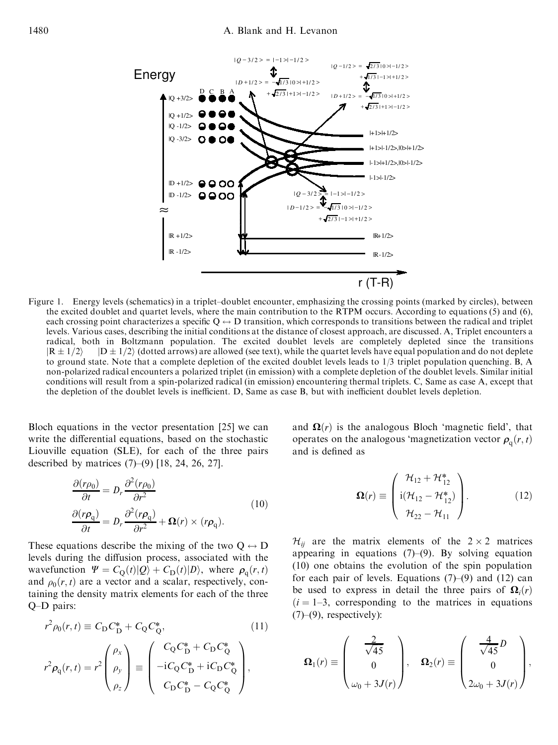

Figure 1. Energy levels (schematics) in a triplet-doublet encounter, emphasizing the crossing points (marked by circles), between the excited doublet and quartet levels, where the main contribution to the RTPM occurs. According to equations (5) and (6), each crossing point characterizes a specific  $Q \leftrightarrow D$  transition, which corresponds to transitions between the radical and triplet levels. Various cases, describing the initial conditions at the distance of closest approach, are discussed. A, Triplet encounters a radical, both in Boltzmann population. The excited doublet levels are completely depleted since the transitions  $|R \pm 1/2\rangle$   $|D \pm 1/2\rangle$  (dotted arrows) are allowed (see text), while the quartet levels have equal population and do not deplete to ground state. Note that a complete depletion of the excited doublet levels leads to 1/3 triplet population quenching. B, A non-polarized radical encounters a polarized triplet (in emission) with a complete depletion of the doublet levels. Similar initial conditions will result from a spin-polarized radical (in emission) encountering thermal triplets. C, Same as case A, except that the depletion of the doublet levels is inefficient. D, Same as case B, but with inefficient doublet levels depletion.

Bloch equations in the vector presentation [25] we can write the differential equations, based on the stochastic Liouville equation (SLE), for each of the three pairs described by matrices  $(7)-(9)$  [18, 24, 26, 27].

$$
\frac{\partial(r\rho_0)}{\partial t} = D_r \frac{\partial^2(r\rho_0)}{\partial r^2}
$$
\n
$$
\frac{\partial(r\rho_q)}{\partial t} = D_r \frac{\partial^2(r\rho_q)}{\partial r^2} + \Omega(r) \times (r\rho_q).
$$
\n(10)

These equations describe the mixing of the two  $Q \leftrightarrow D$ levels during the diffusion process, associated with the wavefunction  $\Psi = C_Q(t)|Q\rangle + C_D(t)|D\rangle$ , where  $\rho_q(r, t)$ and  $\rho_0(r, t)$  are a vector and a scalar, respectively, containing the density matrix elements for each of the three  $O-D$  pairs:

$$
r^2 \rho_0(r, t) \equiv C_{\rm D} C_{\rm D}^* + C_{\rm Q} C_{\rm Q}^*,\tag{11}
$$

$$
r^{2} \rho_{\mathbf{q}}(r,t) = r^{2} \begin{pmatrix} \rho_{x} \\ \rho_{y} \\ \rho_{z} \end{pmatrix} \equiv \begin{pmatrix} C_{Q}C_{D}^{*} + C_{D}C_{Q}^{*} \\ -iC_{Q}C_{D}^{*} + iC_{D}C_{Q}^{*} \\ C_{D}C_{D}^{*} - C_{Q}C_{Q}^{*} \end{pmatrix},
$$

and  $\Omega(r)$  is the analogous Bloch 'magnetic field', that operates on the analogous 'magnetization vector  $\rho_q(r, t)$ and is defined as

$$
\mathbf{\Omega}(r) \equiv \begin{pmatrix} \mathcal{H}_{12} + \mathcal{H}_{12}^* \\ \mathrm{i}(\mathcal{H}_{12} - \mathcal{H}_{12}^*) \\ \mathcal{H}_{22} - \mathcal{H}_{11} \end{pmatrix} . \tag{12}
$$

 $\mathcal{H}_{ii}$  are the matrix elements of the  $2 \times 2$  matrices appearing in equations  $(7)-(9)$ . By solving equation (10) one obtains the evolution of the spin population for each pair of levels. Equations  $(7)-(9)$  and  $(12)$  can be used to express in detail the three pairs of  $\Omega_i(r)$  $(i = 1-3$ , corresponding to the matrices in equations  $(7)-(9)$ , respectively):

$$
\mathbf{\Omega}_1(r) \equiv \begin{pmatrix} \frac{2}{\sqrt{45}} \\ 0 \\ \omega_0 + 3J(r) \end{pmatrix}, \quad \mathbf{\Omega}_2(r) \equiv \begin{pmatrix} \frac{4}{\sqrt{45}}D \\ 0 \\ 2\omega_0 + 3J(r) \end{pmatrix},
$$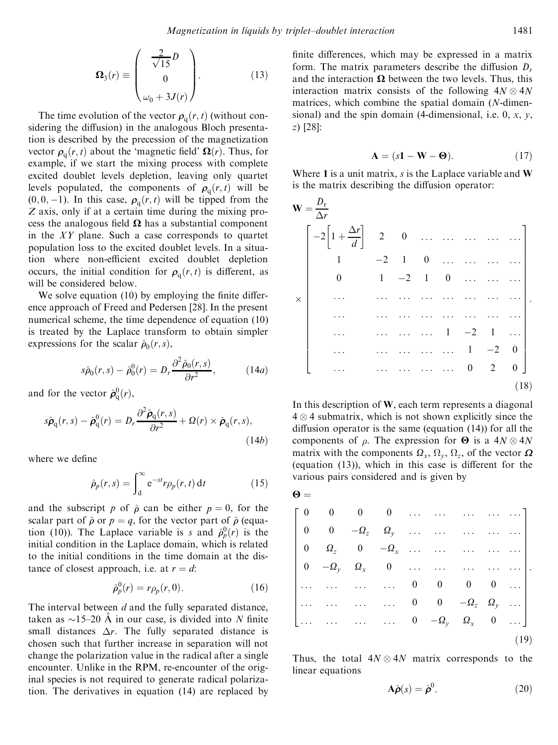p<sup>1</sup>

$$
\mathbf{\Omega}_{3}(r) \equiv \begin{pmatrix} \frac{2}{\sqrt{15}}D \\ 0 \\ \omega_0 + 3J(r) \end{pmatrix} . \tag{13}
$$

The time evolution of the vector  $\rho_q(r, t)$  (without considering the diffusion) in the analogous Bloch presentation is described by the precession of the magnetization vector  $\rho_q(r, t)$  about the 'magnetic field'  $\Omega(r)$ . Thus, for example, if we start the mixing process with complete excited doublet levels depletion, leaving only quartet levels populated, the components of  $\rho_q(r,t)$  will be  $(0, 0, -1)$ . In this case,  $\rho_q(r, t)$  will be tipped from the *Z* axis, only if at a certain time during the mixing process the analogous field  $\Omega$  has a substantial component in the *XY* plane. Such a case corresponds to quartet population loss to the excited doublet levels. In a situation where non-efficient excited doublet depletion occurs, the initial condition for  $\rho_q(r, t)$  is different, as will be considered below.

We solve equation  $(10)$  by employing the finite difference approach of Freed and Pedersen [28]. In the present numerical scheme, the time dependence of equation (10) is treated by the Laplace transform to obtain simpler expressions for the scalar  $\hat{\rho}_0(r,s)$ ,

$$
s\hat{\rho}_0(r,s) - \hat{\rho}_0^0(r) = D_r \frac{\partial^2 \hat{\rho}_0(r,s)}{\partial r^2},\qquad(14a)
$$

and for the vector  $\hat{\boldsymbol{\rho}}_{q}^{0}(r)$ ,

$$
s\hat{\boldsymbol{\rho}}_{\mathbf{q}}(r,s) - \hat{\boldsymbol{\rho}}_{\mathbf{q}}^{0}(r) = D_{r} \frac{\partial^{2} \hat{\boldsymbol{\rho}}_{\mathbf{q}}(r,s)}{\partial r^{2}} + \Omega(r) \times \hat{\boldsymbol{\rho}}_{\mathbf{q}}(r,s),
$$
\n(14b)

where we define

$$
\hat{\rho}_p(r,s) = \int_0^\infty e^{-st} r \rho_p(r,t) dt \qquad (15)
$$

and the subscript *p* of  $\hat{\rho}$  can be either  $p = 0$ , for the scalar part of  $\hat{\rho}$  or  $p = q$ , for the vector part of  $\hat{\rho}$  (equation (10)). The Laplace variable is *s* and  $\rho_p^0(r)$  is the initial condition in the Laplace domain, which is related to the initial conditions in the time domain at the distance of closest approach, i.e. at  $r = d$ :

$$
\hat{\rho}_p^0(r) = r\rho_p(r, 0). \tag{16}
$$

The interval between *d* and the fully separated distance, taken as  $\sim$ 15–20 Å in our case, is divided into *N* finite small distances  $\Delta r$ . The fully separated distance is chosen such that further increase in separation will not change the polarization value in the radical after a single encounter. Unlike in the RPM, re-encounter of the original species is not required to generate radical polarization. The derivatives in equation (14) are replaced by finite differences, which may be expressed in a matrix form. The matrix parameters describe the diffusion  $D_r$ and the interaction  $\Omega$  between the two levels. Thus, this interaction matrix consists of the following  $4N \otimes 4N$ matrices, which combine the spatial domain (*N*-dimensional) and the spin domain (4-dimensional, i.e. 0, *x*, *y*, *z*) [28]:

$$
\mathbf{A} = (s\mathbf{1} - \mathbf{W} - \mathbf{\Theta}).\tag{17}
$$

Where **1** is a unit matrix, *s* is the Laplace variable and **W** is the matrix describing the diffusion operator:

|          | $W = \frac{D_r}{\Delta r}$                      |                                                                                                                                                                                                                                          |  |                |                |                                                                  |
|----------|-------------------------------------------------|------------------------------------------------------------------------------------------------------------------------------------------------------------------------------------------------------------------------------------------|--|----------------|----------------|------------------------------------------------------------------|
|          | $\left[-2\left[1+\frac{\Delta r}{d}\right]$ 2 0 |                                                                                                                                                                                                                                          |  |                |                |                                                                  |
|          | $\begin{bmatrix} 1 \end{bmatrix}$               |                                                                                                                                                                                                                                          |  | $-2$ 1 0       |                |                                                                  |
|          | $\begin{matrix}0\\0\\\\0\end{matrix}$           |                                                                                                                                                                                                                                          |  |                |                | $1 \quad -2 \quad 1 \quad 0 \quad \dots \quad \dots \quad \dots$ |
| $\times$ |                                                 | $\mathcal{L}^{\text{max}}$ , and the same state of the state of the state of the state of the state of the state of the state of the state of the state of the state of the state of the state of the state of the state of the state of |  |                |                |                                                                  |
|          |                                                 |                                                                                                                                                                                                                                          |  |                |                |                                                                  |
|          |                                                 |                                                                                                                                                                                                                                          |  |                |                | $1 \quad -2 \quad 1 \quad $                                      |
|          |                                                 | $\mathbb{R}^{2}$ . The second second $\mathbb{R}^{2}$                                                                                                                                                                                    |  | $1 \quad -2$   |                |                                                                  |
|          |                                                 |                                                                                                                                                                                                                                          |  | $\overline{0}$ | $\overline{2}$ | 0 <sup>1</sup>                                                   |
|          |                                                 |                                                                                                                                                                                                                                          |  |                |                | (18)                                                             |

In this description of **W**, each term represents a diagonal  $4 \otimes 4$  submatrix, which is not shown explicitly since the diffusion operator is the same (equation  $(14)$ ) for all the components of  $\rho$ . The expression for  $\Theta$  is a  $4N \otimes 4N$ matrix with the components  $\Omega_x$ ,  $\Omega_y$ ,  $\Omega_z$ , of the vector  $\Omega$ (equation  $(13)$ ), which in this case is different for the various pairs considered and is given by

$$
\mathbf{\Theta} =
$$

|  |  |  | $\left[\begin{array}{cccccccccc} 0 & 0 & 0 & 0 & \dots & \dots & \dots & \dots & \dots \\ 0 & 0 & -\Omega_z & \Omega_y & \dots & \dots & \dots & \dots & \dots \\ \end{array}\right]$  |  |
|--|--|--|----------------------------------------------------------------------------------------------------------------------------------------------------------------------------------------|--|
|  |  |  | $\begin{vmatrix} 0 & \Omega_z & 0 & -\Omega_x & \dots & \dots & \dots & \dots \end{vmatrix}$                                                                                           |  |
|  |  |  | $\begin{vmatrix} 0 & -\Omega_y & \Omega_x & 0 & \dots & \dots & \dots & \dots \end{vmatrix}$ .                                                                                         |  |
|  |  |  | $\begin{vmatrix} \ldots & \ldots & \ldots & \ldots & 0 & 0 & 0 & 0 & \ldots \end{vmatrix}$                                                                                             |  |
|  |  |  | $\begin{bmatrix} \ldots & \ldots & \ldots & \ldots & 0 & 0 & -\Omega_z & \Omega_y & \ldots \\ \ldots & \ldots & \ldots & \ldots & 0 & -\Omega_y & \Omega_x & 0 & \ldots \end{bmatrix}$ |  |
|  |  |  |                                                                                                                                                                                        |  |
|  |  |  |                                                                                                                                                                                        |  |

Thus, the total  $4N \otimes 4N$  matrix corresponds to the linear equations

$$
\mathbf{A}\hat{\boldsymbol{\rho}}(s) = \hat{\boldsymbol{\rho}}^0. \tag{20}
$$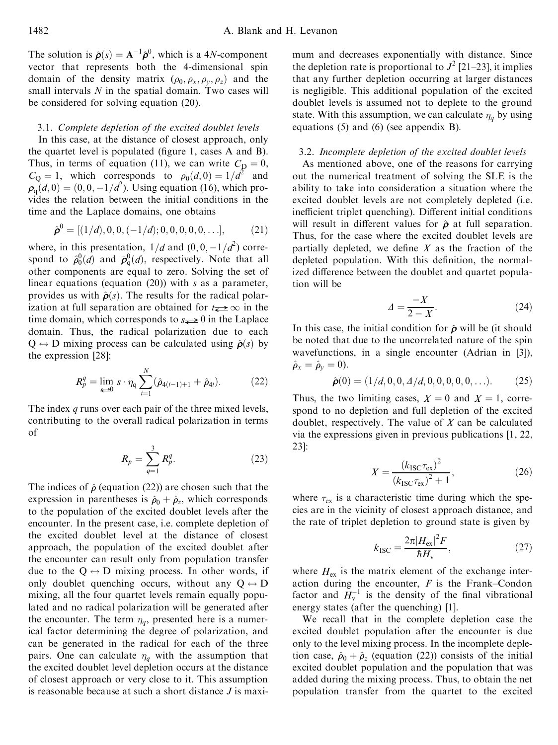The solution is  $\hat{\boldsymbol{\rho}}(s) = \mathbf{A}^{-1} \hat{\boldsymbol{\rho}}^0$ , which is a 4*N*-component vector that represents both the 4-dimensional spin domain of the density matrix  $(\rho_0, \rho_x, \rho_y, \rho_z)$  and the small intervals *N* in the spatial domain. Two cases will be considered for solving equation (20).

### 3.1. *Complete depletion of the excited doublet levels*

In this case, at the distance of closest approach, only the quartet level is populated (figure 1, cases  $A$  and  $B$ ). Thus, in terms of equation (11), we can write  $C_D = 0$ ,  $C_Q = 1$ , which corresponds to  $\rho_0(d, 0) = 1/d^2$  and  $\rho_q(d, 0) = (0, 0, -1/d^2)$ . Using equation (16), which provides the relation between the initial conditions in the time and the Laplace domains, one obtains

$$
\hat{\boldsymbol{\rho}}^0 = [(1/d), 0, 0, (-1/d); 0, 0, 0, 0, 0, \ldots], \tag{21}
$$

where, in this presentation,  $1/d$  and  $(0, 0, -1/d^2)$  correspond to  $\hat{\rho}_0^0(d)$  and  $\hat{\rho}_q^0(d)$ , respectively. Note that all other components are equal to zero. Solving the set of linear equations (equation (20)) with *s* as a parameter, provides us with  $\hat{\rho}(s)$ . The results for the radical polarization at full separation are obtained for  $t\rightarrow\infty$  in the time domain, which corresponds to  $s \to 0$  in the Laplace domain. Thus, the radical polarization due to each  $Q \leftrightarrow D$  mixing process can be calculated using  $\hat{\rho}(s)$  by the expression [28]:

$$
R_p^q = \lim_{k \to 0} s \cdot \eta_q \sum_{i=1}^N (\hat{\rho}_{4(i-1)+1} + \hat{\rho}_{4i}). \tag{22}
$$

The index *q* runs over each pair of the three mixed levels, contributing to the overall radical polarization in terms of

$$
R_p = \sum_{q=1}^{3} R_p^q.
$$
 (23)

The indices of  $\hat{\rho}$  (equation (22)) are chosen such that the expression in parentheses is  $\hat{\rho}_0 + \hat{\rho}_z$ , which corresponds to the population of the excited doublet levels after the encounter. In the present case, i.e. complete depletion of the excited doublet level at the distance of closest approach, the population of the excited doublet after the encounter can result only from population transfer due to the  $Q \leftrightarrow D$  mixing process. In other words, if only doublet quenching occurs, without any  $Q \leftrightarrow D$ mixing, all the four quartet levels remain equally populated and no radical polarization will be generated after the encounter. The term  $\eta_q$ , presented here is a numerical factor determining the degree of polarization, and can be generated in the radical for each of the three pairs. One can calculate  $\eta_q$  with the assumption that the excited doublet level depletion occurs at the distance of closest approach or very close to it. This assumption is reasonable because at such a short distance *J* is maximum and decreases exponentially with distance. Since the depletion rate is proportional to  $J^2$  [21–23], it implies that any further depletion occurring at larger distances is negligible. This additional population of the excited doublet levels is assumed not to deplete to the ground state. With this assumption, we can calculate  $\eta_q$  by using equations (5) and (6) (see appendix B).

# 3.2. *Incomplete depletion of the excited doublet levels*

As mentioned above, one of the reasons for carrying out the numerical treatment of solving the SLE is the ability to take into consideration a situation where the excited doublet levels are not completely depleted (i.e. inefficient triplet quenching). Different initial conditions will result in different values for  $\hat{\rho}$  at full separation. Thus, for the case where the excited doublet levels are partially depleted, we define  $X$  as the fraction of the depleted population. With this definition, the normalized difference between the doublet and quartet population will be

$$
\Delta = \frac{-X}{2 - X}.\tag{24}
$$

In this case, the initial condition for  $\hat{\rho}$  will be (it should be noted that due to the uncorrelated nature of the spin wavefunctions, in a single encounter (Adrian in [3]),  $\hat{\rho}_x = \hat{\rho}_y = 0$ .

$$
\hat{\boldsymbol{\rho}}(0) = (1/d, 0, 0, \Delta/d, 0, 0, 0, 0, 0, \ldots). \tag{25}
$$

Thus, the two limiting cases,  $X = 0$  and  $X = 1$ , correspond to no depletion and full depletion of the excited doublet, respectively. The value of *X* can be calculated via the expressions given in previous publications [1, 22, 23]:

$$
X = \frac{(k_{\text{ISC}}\tau_{\text{ex}})^2}{(k_{\text{ISC}}\tau_{\text{ex}})^2 + 1},\tag{26}
$$

where  $\tau_{ex}$  is a characteristic time during which the species are in the vicinity of closest approach distance, and the rate of triplet depletion to ground state is given by

$$
k_{\rm{ISC}} = \frac{2\pi |H_{\rm{ex}}|^2 F}{\hbar H_{\rm{v}}},\tag{27}
$$

where  $H_{\text{ex}}$  is the matrix element of the exchange interaction during the encounter,  $F$  is the Frank–Condon factor and  $H_v^{-1}$  is the density of the final vibrational energy states (after the quenching) [1].

We recall that in the complete depletion case the excited doublet population after the encounter is due only to the level mixing process. In the incomplete depletion case,  $\hat{\rho}_0 + \hat{\rho}_z$  (equation (22)) consists of the initial excited doublet population and the population that was added during the mixing process. Thus, to obtain the net population transfer from the quartet to the excited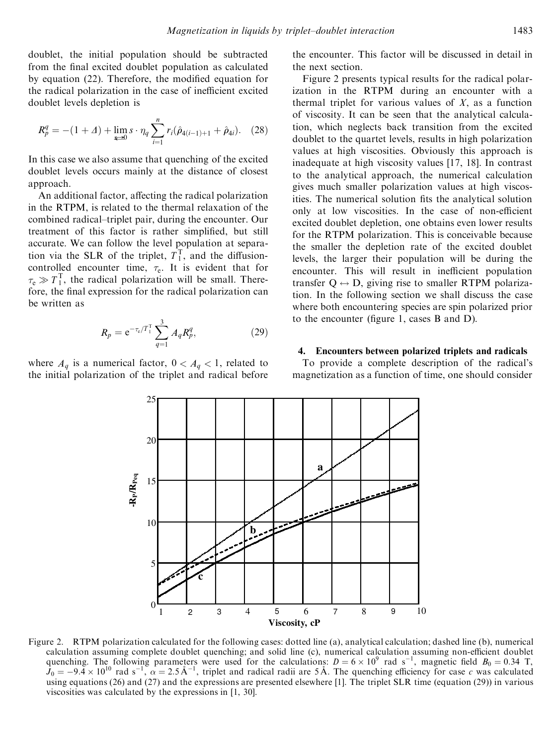doublet, the initial population should be subtracted from the final excited doublet population as calculated by equation  $(22)$ . Therefore, the modified equation for the radical polarization in the case of inefficient excited doublet levels depletion is

$$
R_p^q = -(1+\Delta) + \lim_{\xi \to 0} s \cdot \eta_q \sum_{i=1}^n r_i(\hat{\rho}_{4(i-1)+1} + \hat{\rho}_{4i}). \quad (28)
$$

In this case we also assume that quenching of the excited doublet levels occurs mainly at the distance of closest approach.

An additional factor, affecting the radical polarization in the RTPM, is related to the thermal relaxation of the combined radical–triplet pair, during the encounter. Our treatment of this factor is rather simplified, but still accurate. We can follow the level population at separation via the SLR of the triplet,  $T_1^T$ , and the diffusioncontrolled encounter time,  $\tau_e$ . It is evident that for  $\tau_e \gg T_1^T$ , the radical polarization will be small. Therefore, the final expression for the radical polarization can be written as

$$
R_p = e^{-\tau_e/T_1^{\rm T}} \sum_{q=1}^{3} A_q R_p^q, \tag{29}
$$

where  $A_q$  is a numerical factor,  $0 < A_q < 1$ , related to the initial polarization of the triplet and radical before

the encounter. This factor will be discussed in detail in the next section.

Figure 2 presents typical results for the radical polarization in the RTPM during an encounter with a thermal triplet for various values of *X*, as a function of viscosity. It can be seen that the analytical calculation, which neglects back transition from the excited doublet to the quartet levels, results in high polarization values at high viscosities. Obviously this approach is inadequate at high viscosity values [17, 18]. In contrast to the analytical approach, the numerical calculation gives much smaller polarization values at high viscosities. The numerical solution fits the analytical solution only at low viscosities. In the case of non-efficient excited doublet depletion, one obtains even lower results for the RTPM polarization. This is conceivable because the smaller the depletion rate of the excited doublet levels, the larger their population will be during the encounter. This will result in inefficient population transfer  $O \leftrightarrow D$ , giving rise to smaller RTPM polarization. In the following section we shall discuss the case where both encountering species are spin polarized prior to the encounter (figure 1, cases  $B$  and  $D$ ).

#### **4. Encounters between polarized triplets and radicals**

To provide a complete description of the radical's magnetization as a function of time, one should consider



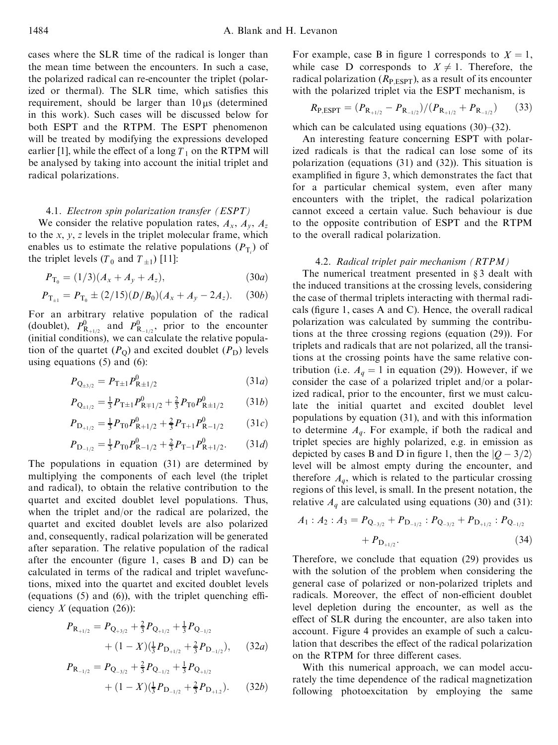cases where the SLR time of the radical is longer than the mean time between the encounters. In such a case, the polarized radical can re-encounter the triplet (polarized or thermal). The SLR time, which satisfies this requirement, should be larger than  $10 \mu s$  (determined in this work). Such cases will be discussed below for both ESPT and the RTPM. The ESPT phenomenon will be treated by modifying the expressions developed earlier [1], while the effect of a long  $T_1$  on the RTPM will be analysed by taking into account the initial triplet and radical polarizations.

# 4.1. *Electron spin polarization transfer (ESPT)*

We consider the relative population rates,  $A_x$ ,  $A_y$ ,  $A_z$ to the *x*, *y*, *z* levels in the triplet molecular frame, which enables us to estimate the relative populations  $(P_T)$  of the triplet levels  $(T_0$  and  $T_{\pm 1}$ ) [11]:

$$
P_{\mathcal{T}_0} = (1/3)(A_x + A_y + A_z), \tag{30a}
$$

$$
P_{\mathrm{T}_{\pm 1}} = P_{\mathrm{T}_0} \pm (2/15)(D/B_0)(A_x + A_y - 2A_z). \tag{30b}
$$

For an arbitrary relative population of the radical (doublet),  $P_{\text{R}_{+1/2}}^0$  and  $P_{\text{R}_{-1/2}}^0$ , prior to the encounter (initial conditions), we can calculate the relative population of the quartet  $(P<sub>O</sub>)$  and excited doublet  $(P<sub>D</sub>)$  levels using equations  $(5)$  and  $(6)$ :

$$
P_{Q_{\pm 3/2}} = P_{T \pm 1} P_{R \pm 1/2}^0 \tag{31a}
$$

$$
P_{Q_{\pm 1/2}} = \frac{1}{3} P_{T \pm 1} P_{R \mp 1/2}^0 + \frac{2}{3} P_{T0} P_{R \pm 1/2}^0 \qquad (31b)
$$

$$
P_{\mathcal{D}_{+1/2}} = \frac{1}{3} P_{\mathcal{T}0} P_{\mathcal{R}+1/2}^0 + \frac{2}{3} P_{\mathcal{T}+1} P_{\mathcal{R}-1/2}^0 \tag{31c}
$$

$$
P_{\mathcal{D}_{-1/2}} = \frac{1}{3} P_{\mathcal{T}0} P_{\mathcal{R}-1/2}^0 + \frac{2}{3} P_{\mathcal{T}-1} P_{\mathcal{R}+1/2}^0. \tag{31d}
$$

The populations in equation (31) are determined by multiplying the components of each level (the triplet and radical), to obtain the relative contribution to the quartet and excited doublet level populations. Thus, when the triplet and/or the radical are polarized, the quartet and excited doublet levels are also polarized and, consequently, radical polarization will be generated after separation. The relative population of the radical after the encounter (figure 1, cases  $B$  and  $D$ ) can be calculated in terms of the radical and triplet wavefunctions, mixed into the quartet and excited doublet levels (equations  $(5)$  and  $(6)$ ), with the triplet quenching efficiency *X* (equation (26)):

$$
P_{\mathbf{R}_{+1/2}} = P_{\mathbf{Q}_{+3/2}} + \frac{2}{3} P_{\mathbf{Q}_{+1/2}} + \frac{1}{3} P_{\mathbf{Q}_{-1/2}} + (1 - X) (\frac{1}{3} P_{\mathbf{D}_{+1/2}} + \frac{2}{3} P_{\mathbf{D}_{-1/2}}), \quad (32a)
$$

$$
P_{\mathbf{R}_{-1/2}} = P_{\mathbf{Q}_{-3/2}} + \frac{2}{3} P_{\mathbf{Q}_{-1/2}} + \frac{1}{3} P_{\mathbf{Q}_{+1/2}} + (1 - X) (\frac{1}{3} P_{\mathbf{D}_{-1/2}} + \frac{2}{3} P_{\mathbf{D}_{+1.2}}). \tag{32b}
$$

For example, case B in figure 1 corresponds to  $X = 1$ , while case D corresponds to  $X \neq 1$ . Therefore, the radical polarization  $(R_{\text{P,ESPT}})$ , as a result of its encounter with the polarized triplet via the ESPT mechanism, is

$$
R_{\text{P,ESPT}} = (P_{\text{R}_{+1/2}} - P_{\text{R}_{-1/2}})/(P_{\text{R}_{+1/2}} + P_{\text{R}_{-1/2}})
$$
(33)

which can be calculated using equations  $(30)$ – $(32)$ .

An interesting feature concerning ESPT with polarized radicals is that the radical can lose some of its polarization (equations (31) and (32)). This situation is examplified in figure 3, which demonstrates the fact that for a particular chemical system, even after many encounters with the triplet, the radical polarization cannot exceed a certain value. Such behaviour is due to the opposite contribution of ESPT and the RTPM to the overall radical polarization.

#### 4.2. *Radical triplet pair mechanism (RTPM)*

The numerical treatment presented in  $§ 3$  dealt with the induced transitions at the crossing levels, considering the case of thermal triplets interacting with thermal radicals (figure 1, cases A and C). Hence, the overall radical polarization was calculated by summing the contributions at the three crossing regions (equation (29)). For triplets and radicals that are not polarized, all the transitions at the crossing points have the same relative contribution (i.e.  $A_q = 1$  in equation (29)). However, if we consider the case of a polarized triplet and/or a polarized radical, prior to the encounter, first we must calculate the initial quartet and excited doublet level populations by equation (31), and with this information to determine  $A_q$ . For example, if both the radical and triplet species are highly polarized, e.g. in emission as depicted by cases B and D in figure 1, then the  $|Q - 3/2\rangle$ level will be almost empty during the encounter, and therefore  $A_q$ , which is related to the particular crossing regions of this level, is small. In the present notation, the relative  $A_q$  are calculated using equations (30) and (31):

$$
A_1: A_2: A_3 = P_{Q_{-3/2}} + P_{D_{-1/2}}: P_{Q_{-3/2}} + P_{D_{+1/2}}: P_{Q_{-1/2}} + P_{D_{+1/2}}.
$$
\n(34)

Therefore, we conclude that equation (29) provides us with the solution of the problem when considering the general case of polarized or non-polarized triplets and radicals. Moreover, the effect of non-efficient doublet level depletion during the encounter, as well as the effect of SLR during the encounter, are also taken into account. Figure 4 provides an example of such a calculation that describes the effect of the radical polarization on the RTPM for three different cases.

With this numerical approach, we can model accurately the time dependence of the radical magnetization following photoexcitation by employing the same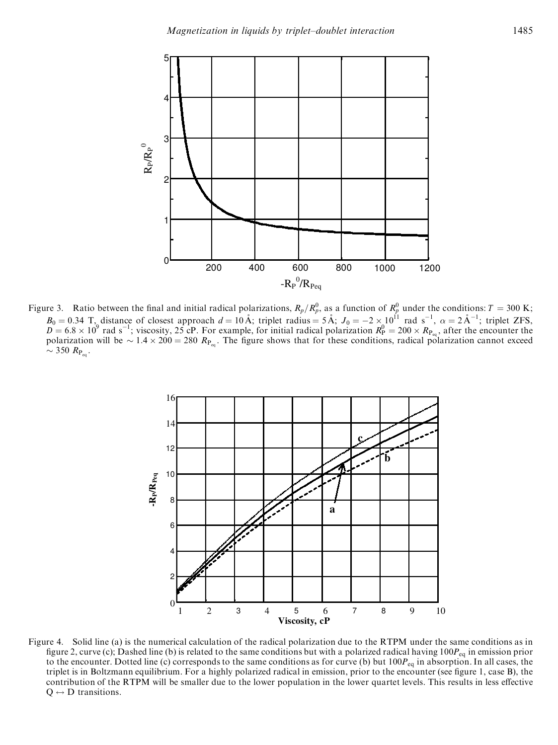

Figure 3. Ratio between the final and initial radical polarizations,  $R_p/R_p^0$ , as a function of  $R_p^0$  under the conditions:  $T = 300 \text{ K}$ ;  $B_0 = 0.34$  T, distance of closest approach  $d = 10 \text{ Å}$ ; triplet radius = 5 Å;  $J_0 = -2 \times 10^{11}$  rad s<sup>-1</sup>,  $\alpha = 2 \text{ Å}^{-1}$ ; triplet ZFS,<br> $D = 6.8 \times 10^9$  rad s<sup>-1</sup>; viscosity, 25 cP. For example, for initial radical pola polarization will be  $\sim 1.4 \times 200 = 280 R_{\text{P}_{eq}}$ . The figure shows that for these conditions, radical polarization cannot exceed  $\sim$  350  $R_{P_{\text{eq}}}$ .



Figure 4. Solid line (a) is the numerical calculation of the radical polarization due to the RTPM under the same conditions as in figure 2, curve (c); Dashed line (b) is related to the same conditions but with a polarized radical having  $100P_{eq}$  in emission prior to the encounter. Dotted line (c) corresponds to the same conditions as for curve (b) but  $100P_{eq}$  in absorption. In all cases, the triplet is in Boltzmann equilibrium. For a highly polarized radical in emission, prior to the encounter (see figure 1, case B), the contribution of the RTPM will be smaller due to the lower population in the lower quartet levels. This results in less effective  $Q \leftrightarrow D$  transitions.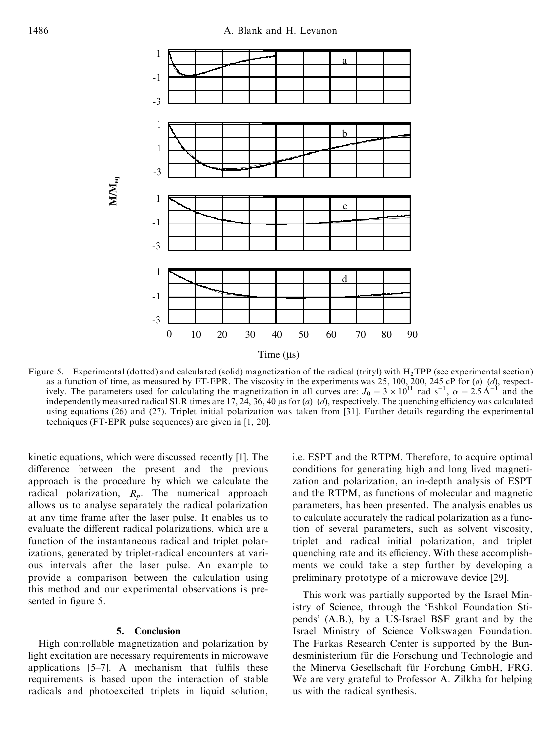

Figure 5. Experimental (dotted) and calculated (solid) magnetization of the radical (trityl) with  $H_2TPP$  (see experimental section) as a function of time, as measured by FT-EPR. The viscosity in the experiments was 25, 100, 200, 245 cP for (a)–(d), respect-<br>ively. The parameters used for calculating the magnetization in all curves are:  $J_0 = 3 \times 10^{11$ independently measured radical SLR times are 17, 24, 36, 40  $\mu$ s for  $(a)$ – $(d)$ , respectively. The quenching efficiency was calculated using equations (26) and (27). Triplet initial polarization was taken from [31]. Further details regarding the experimental techniques (FT-EPR pulse sequences) are given in [1, 20].

kinetic equations, which were discussed recently [1]. The difference between the present and the previous approach is the procedure by which we calculate the radical polarization, *R<sup>p</sup>* . The numerical approach allows us to analyse separately the radical polarization at any time frame after the laser pulse. It enables us to evaluate the different radical polarizations, which are a function of the instantaneous radical and triplet polarizations, generated by triplet-radical encounters at various intervals after the laser pulse. An example to provide a comparison between the calculation using this method and our experimental observations is presented in figure 5.

### **5. Conclusion**

High controllable magnetization and polarization by light excitation are necessary requirements in microwave applications  $[5-7]$ . A mechanism that fulfils these requirements is based upon the interaction of stable radicals and photoexcited triplets in liquid solution,

i.e. ESPT and the RTPM. Therefore, to acquire optimal conditions for generating high and long lived magnetization and polarization, an in-depth analysis of ESPT and the RTPM, as functions of molecular and magnetic parameters, has been presented. The analysis enables us to calculate accurately the radical polarization as a function of several parameters, such as solvent viscosity, triplet and radical initial polarization, and triplet quenching rate and its efficiency. With these accomplishments we could take a step further by developing a preliminary prototype of a microwave device [29].

This work was partially supported by the Israel Ministry of Science, through the `Eshkol Foundation Stipends' (A.B.), by a US-Israel BSF grant and by the Israel Ministry of Science Volkswagen Foundation. The Farkas Research Center is supported by the Bundesministerium für die Forschung und Technologie and the Minerva Gesellschaft für Forchung GmbH, FRG. We are very grateful to Professor A. Zilkha for helping us with the radical synthesis.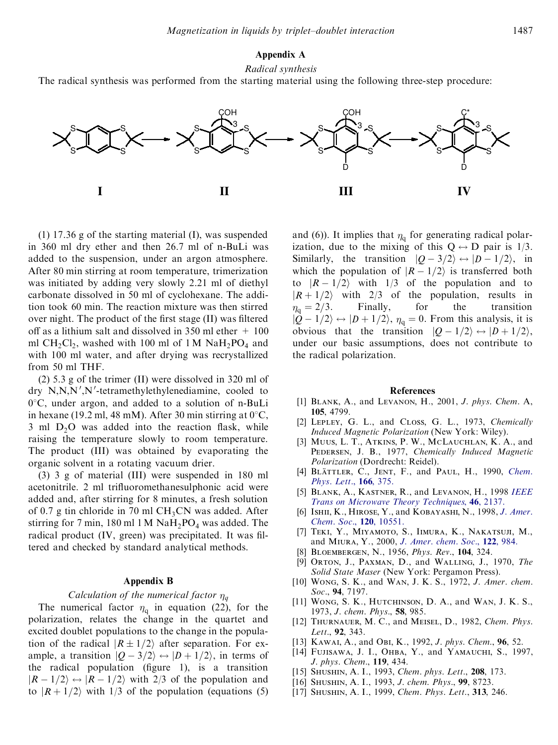# **Appendix A**

*Radical synthesis*

The radical synthesis was performed from the starting material using the following three-step procedure:



(1) 17.36 g of the starting material (I), was suspended in 360 ml dry ether and then 26.7 ml of n-BuLi was added to the suspension, under an argon atmosphere. After 80 min stirring at room temperature, trimerization was initiated by adding very slowly 2.21 ml of diethyl carbonate dissolved in 50 ml of cyclohexane. The addition took 60 min. The reaction mixture was then stirred over night. The product of the first stage (II) was filtered off as a lithium salt and dissolved in 350 ml ether  $+100$ ml  $CH_2Cl_2$ , washed with 100 ml of 1 M  $NaH_2PO_4$  and with 100 ml water, and after drying was recrystallized from 50 ml THF.

(2) 5.3 g of the trimer (II) were dissolved in 320 ml of dry  $N, N, N', N'$ -tetramethylethylenediamine, cooled to  $0^{\circ}$ C, under argon, and added to a solution of n-BuLi in hexane (19.2 ml, 48 mM). After 30 min stirring at  $0^{\circ}$ C, 3 ml  $D_2O$  was added into the reaction flask, while raising the temperature slowly to room temperature. The product (III) was obtained by evaporating the organic solvent in a rotating vacuum drier.

(3) 3 g of material (III) were suspended in 180 ml acetonitrile. 2 ml trifluoromethanesulphonic acid were added and, after stirring for 8 minutes, a fresh solution of 0.7 g tin chloride in 70 ml  $CH<sub>3</sub>CN$  was added. After stirring for 7 min, 180 ml 1 M  $NaH<sub>2</sub>PO<sub>4</sub>$  was added. The radical product (IV, green) was precipitated. It was filtered and checked by standard analytical methods.

#### **Appendix B**

# *Calculation of the numerical factor*  $\eta_q$

The numerical factor  $\eta_q$  in equation (22), for the polarization, relates the change in the quartet and excited doublet populations to the change in the population of the radical  $|R \pm 1/2\rangle$  after separation. For example, a transition  $|Q - 3/2\rangle \leftrightarrow |D + 1/2\rangle$ , in terms of the radical population (figure 1), is a transition  $|R - 1/2\rangle \leftrightarrow |R - 1/2\rangle$  with 2/3 of the population and to  $|R + 1/2\rangle$  with 1/3 of the population (equations (5)

and (6)). It implies that  $\eta_q$  for generating radical polarization, due to the mixing of this  $Q \leftrightarrow D$  pair is 1/3. Similarly, the transition  $|Q - 3/2\rangle \leftrightarrow |D - 1/2\rangle$ , in which the population of  $|R-1/2\rangle$  is transferred both to  $|R-1/2\rangle$  with 1/3 of the population and to  $|R + 1/2\rangle$  with 2/3 of the population, results in  $\eta_0 = 2/3$ . Finally, for the transition  $\eta_{\rm q} = 2/3$ . Finally, for the transition  $|Q - 1/2\rangle \leftrightarrow |D + 1/2\rangle$ ,  $\eta_q = 0$ . From this analysis, it is obvious that the transition  $|Q - 1/2\rangle \leftrightarrow |D + 1/2\rangle$ , under our basic assumptions, does not contribute to the radical polarization.

#### **References**

- [1] Blank, A., and Levanon, H., 2001, *J. phys. Chem.* A, **105**, 4799.
- [2] Lepley, G. L., and Closs, G. L., 1973, *Chemically Induced Magnetic Polarization* (New York: Wiley).
- [3] Muus, L. T., Atkins, P. W., McLauchlan, K. A., and Pedersen, J. B., 1977, *Chemically Induced Magnetic Polarization* (Dordrecht: Reidel).
- [4] BlaÈttler, C., Jent, F., and Paul, H., 1990, *[Chem.](http://www.ingentaselect.com/rpsv/cgi-bin/linker?ext=a&reqidx=/0009-2614^28^29166L.375[aid=2277499]) [Phys.](http://www.ingentaselect.com/rpsv/cgi-bin/linker?ext=a&reqidx=/0009-2614^28^29166L.375[aid=2277499]) Lett.*, **166**, 375.
- [5] Blank, A., Kastner, R., and Levanon, H., 1998 *[IEEE](http://www.ingentaselect.com/rpsv/cgi-bin/linker?ext=a&reqidx=/0018-9480^28^2946L.2137[aid=2339138]) Trans on Microwave Theory [Techniques](http://www.ingentaselect.com/rpsv/cgi-bin/linker?ext=a&reqidx=/0018-9480^28^2946L.2137[aid=2339138])*, **46**, 2137.
- [6] Ishii, K., Hirose, Y., and Kobayashi, N., 1998, *J. [Amer.](http://www.ingentaselect.com/rpsv/cgi-bin/linker?ext=a&reqidx=/0002-7863^28^29120L.10551[aid=2338977]) Chem. Soc.*, **120**, [10551.](http://www.ingentaselect.com/rpsv/cgi-bin/linker?ext=a&reqidx=/0002-7863^28^29120L.10551[aid=2338977])
- [7] Teki, Y., Miyamoto, S., Iimura, K., Nakatsuji, M., and Miura, Y., 2000, *J. [Amer.](http://www.ingentaselect.com/rpsv/cgi-bin/linker?ext=a&reqidx=/0002-7863^28^29122L.984[aid=2338978]) chem. Soc.*, **122**, 984.
- [8] Bloembergen, N., 1956, *Phys. Rev.*, **104**, 324.
- [9] Orton, J., Paxman, D., and Walling, J., 1970, *The Solid State Maser* (New York: Pergamon Press).
- [10] Wong, S. K., and Wan, J. K. S., 1972, *J. Amer. chem. Soc.*, **94**, 7197.
- [11] Wong, S. K., Hutchinson, D. A., and Wan, J. K. S., 1973, *J. chem. Phys.*, **58**, 985.
- [12] Thurnauer, M. C., and Meisel, D., 1982, *Chem. Phys. Lett.*, **92**, 343.
- [13] Kawai, A., and Obi, K., 1992, *J. phys. Chem.*, **96**, 52.
- [14] FUJISAWA, J. I., OHBA, Y., and YAMAUCHI, S., 1997, *J. phys. Chem.*, **119**, 434.
- [15] Shushin, A. I., 1993, *Chem. phys. Lett.*, **208**, 173.
- [16] Shushin, A. I., 1993, *J. chem. Phys.*, **99**, 8723.
- [17] Shushin, A. I., 1999, *Chem. Phys. Lett.*, **313**, 246.